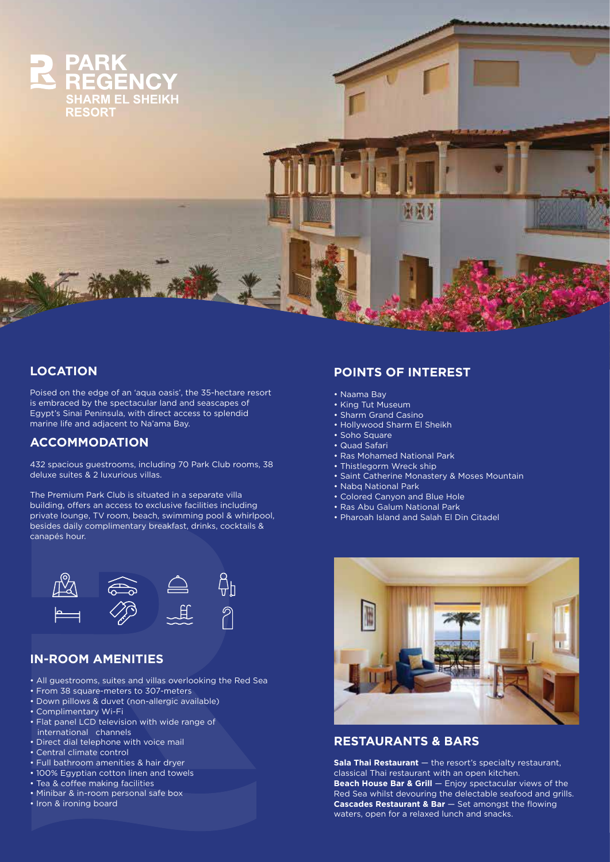

### **LOCATION**

Poised on the edge of an 'aqua oasis', the 35-hectare resort is embraced by the spectacular land and seascapes of Egypt's Sinai Peninsula, with direct access to splendid marine life and adjacent to Na'ama Bay.

## **ACCOMMODATION**

432 spacious guestrooms, including 70 Park Club rooms, 38 deluxe suites & 2 luxurious villas.

The Premium Park Club is situated in a separate villa building, offers an access to exclusive facilities including private lounge, TV room, beach, swimming pool & whirlpool, besides daily complimentary breakfast, drinks, cocktails & canapés hour.



## **IN-ROOM AMENITIES**

- All guestrooms, suites and villas overlooking the Red Sea
- From 38 square-meters to 307-meters
- Down pillows & duvet (non-allergic available)
- Complimentary Wi-Fi
- Flat panel LCD television with wide range of international channels
- Direct dial telephone with voice mail
- Central climate control
- Full bathroom amenities & hair dryer
- 100% Egyptian cotton linen and towels
- Tea & coffee making facilities
- Minibar & in-room personal safe box
- Iron & ironing board

# **POINTS OF INTEREST**

- Naama Bay
- King Tut Museum
- Sharm Grand Casino
- Hollywood Sharm El Sheikh
- Soho Square
- Quad Safari
- Ras Mohamed National Park
- Thistlegorm Wreck ship
- Saint Catherine Monastery & Moses Mountain
- Nabq National Park
- Colored Canyon and Blue Hole
- Ras Abu Galum National Park
- Pharoah Island and Salah El Din Citadel



### **RESTAURANTS & BARS**

**Sala Thai Restaurant** — the resort's specialty restaurant, classical Thai restaurant with an open kitchen. **Beach House Bar & Grill** — Enjoy spectacular views of the Red Sea whilst devouring the delectable seafood and grills. **Cascades Restaurant & Bar** – Set amongst the flowing waters, open for a relaxed lunch and snacks.